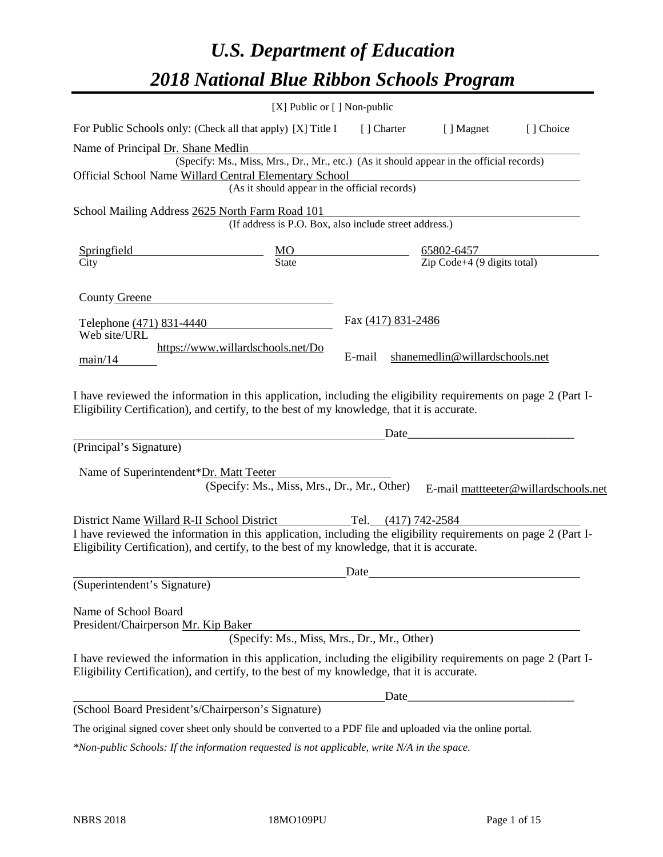# *U.S. Department of Education 2018 National Blue Ribbon Schools Program*

|                                                                                                                                                                                                              | [X] Public or [] Non-public                                                              |                     |                                                                                                                       |                                      |
|--------------------------------------------------------------------------------------------------------------------------------------------------------------------------------------------------------------|------------------------------------------------------------------------------------------|---------------------|-----------------------------------------------------------------------------------------------------------------------|--------------------------------------|
| For Public Schools only: (Check all that apply) [X] Title I                                                                                                                                                  |                                                                                          | [] Charter          | [ ] Magnet                                                                                                            | [] Choice                            |
| Name of Principal Dr. Shane Medlin                                                                                                                                                                           |                                                                                          |                     |                                                                                                                       |                                      |
|                                                                                                                                                                                                              | (Specify: Ms., Miss, Mrs., Dr., Mr., etc.) (As it should appear in the official records) |                     |                                                                                                                       |                                      |
| Official School Name Willard Central Elementary School                                                                                                                                                       | (As it should appear in the official records)                                            |                     |                                                                                                                       |                                      |
|                                                                                                                                                                                                              |                                                                                          |                     |                                                                                                                       |                                      |
| School Mailing Address 2625 North Farm Road 101                                                                                                                                                              | (If address is P.O. Box, also include street address.)                                   |                     |                                                                                                                       |                                      |
| Springfield                                                                                                                                                                                                  |                                                                                          |                     | 65802-6457                                                                                                            |                                      |
| City                                                                                                                                                                                                         | $\frac{MO}{State}$                                                                       |                     | $\overline{Zip Code+4 (9 digits total)}$                                                                              |                                      |
| County Greene                                                                                                                                                                                                |                                                                                          |                     |                                                                                                                       |                                      |
| Telephone (471) 831-4440                                                                                                                                                                                     |                                                                                          | Fax (417) 831-2486  |                                                                                                                       |                                      |
| Web site/URL                                                                                                                                                                                                 |                                                                                          |                     |                                                                                                                       |                                      |
| main/14                                                                                                                                                                                                      | https://www.willardschools.net/Do                                                        | E-mail              | shanemedlin@willardschools.net                                                                                        |                                      |
|                                                                                                                                                                                                              |                                                                                          |                     |                                                                                                                       |                                      |
| I have reviewed the information in this application, including the eligibility requirements on page 2 (Part I-<br>Eligibility Certification), and certify, to the best of my knowledge, that it is accurate. |                                                                                          |                     |                                                                                                                       |                                      |
|                                                                                                                                                                                                              |                                                                                          | Date                | <u> 1989 - Johann Barn, mars eta bainar eta bainar eta hondaren erroman erroman erroman erroman erroman erroman e</u> |                                      |
| (Principal's Signature)                                                                                                                                                                                      |                                                                                          |                     |                                                                                                                       |                                      |
| Name of Superintendent*Dr. Matt Teeter                                                                                                                                                                       |                                                                                          |                     |                                                                                                                       |                                      |
|                                                                                                                                                                                                              | (Specify: Ms., Miss, Mrs., Dr., Mr., Other)                                              |                     |                                                                                                                       | E-mail mattteeter@willardschools.net |
| District Name Willard R-II School District                                                                                                                                                                   |                                                                                          | Tel. (417) 742-2584 |                                                                                                                       |                                      |
| I have reviewed the information in this application, including the eligibility requirements on page 2 (Part I-                                                                                               |                                                                                          |                     |                                                                                                                       |                                      |
| Eligibility Certification), and certify, to the best of my knowledge, that it is accurate.                                                                                                                   |                                                                                          |                     |                                                                                                                       |                                      |
|                                                                                                                                                                                                              |                                                                                          | Date                |                                                                                                                       |                                      |
| (Superintendent's Signature)                                                                                                                                                                                 |                                                                                          |                     |                                                                                                                       |                                      |
| Name of School Board                                                                                                                                                                                         |                                                                                          |                     |                                                                                                                       |                                      |
| President/Chairperson Mr. Kip Baker                                                                                                                                                                          | (Specify: Ms., Miss, Mrs., Dr., Mr., Other)                                              |                     |                                                                                                                       |                                      |
| I have reviewed the information in this application, including the eligibility requirements on page 2 (Part I-<br>Eligibility Certification), and certify, to the best of my knowledge, that it is accurate. |                                                                                          |                     |                                                                                                                       |                                      |
|                                                                                                                                                                                                              |                                                                                          | Date                |                                                                                                                       |                                      |
| (School Board President's/Chairperson's Signature)                                                                                                                                                           |                                                                                          |                     |                                                                                                                       |                                      |
| The original signed cover sheet only should be converted to a PDF file and uploaded via the online portal.                                                                                                   |                                                                                          |                     |                                                                                                                       |                                      |

*\*Non-public Schools: If the information requested is not applicable, write N/A in the space.*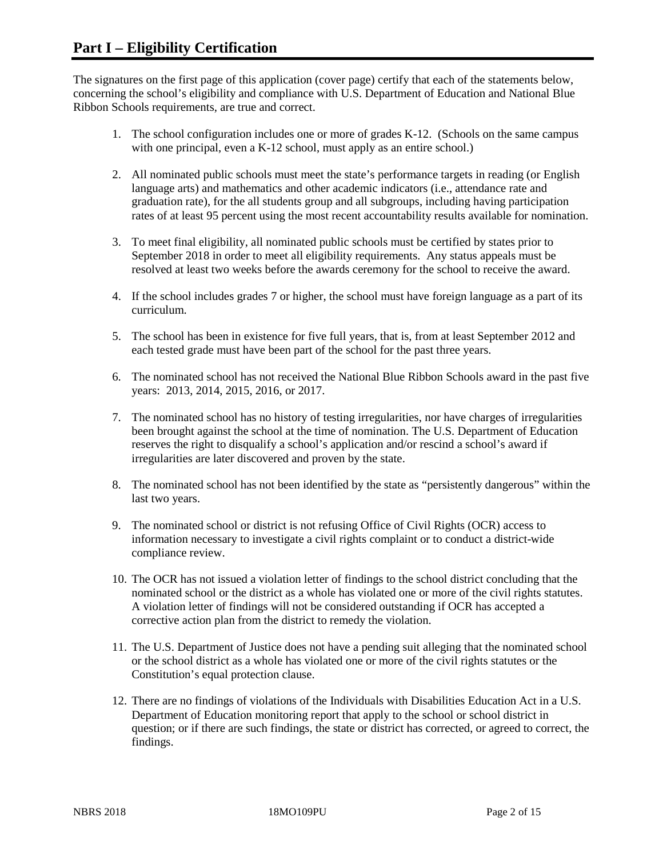The signatures on the first page of this application (cover page) certify that each of the statements below, concerning the school's eligibility and compliance with U.S. Department of Education and National Blue Ribbon Schools requirements, are true and correct.

- 1. The school configuration includes one or more of grades K-12. (Schools on the same campus with one principal, even a K-12 school, must apply as an entire school.)
- 2. All nominated public schools must meet the state's performance targets in reading (or English language arts) and mathematics and other academic indicators (i.e., attendance rate and graduation rate), for the all students group and all subgroups, including having participation rates of at least 95 percent using the most recent accountability results available for nomination.
- 3. To meet final eligibility, all nominated public schools must be certified by states prior to September 2018 in order to meet all eligibility requirements. Any status appeals must be resolved at least two weeks before the awards ceremony for the school to receive the award.
- 4. If the school includes grades 7 or higher, the school must have foreign language as a part of its curriculum.
- 5. The school has been in existence for five full years, that is, from at least September 2012 and each tested grade must have been part of the school for the past three years.
- 6. The nominated school has not received the National Blue Ribbon Schools award in the past five years: 2013, 2014, 2015, 2016, or 2017.
- 7. The nominated school has no history of testing irregularities, nor have charges of irregularities been brought against the school at the time of nomination. The U.S. Department of Education reserves the right to disqualify a school's application and/or rescind a school's award if irregularities are later discovered and proven by the state.
- 8. The nominated school has not been identified by the state as "persistently dangerous" within the last two years.
- 9. The nominated school or district is not refusing Office of Civil Rights (OCR) access to information necessary to investigate a civil rights complaint or to conduct a district-wide compliance review.
- 10. The OCR has not issued a violation letter of findings to the school district concluding that the nominated school or the district as a whole has violated one or more of the civil rights statutes. A violation letter of findings will not be considered outstanding if OCR has accepted a corrective action plan from the district to remedy the violation.
- 11. The U.S. Department of Justice does not have a pending suit alleging that the nominated school or the school district as a whole has violated one or more of the civil rights statutes or the Constitution's equal protection clause.
- 12. There are no findings of violations of the Individuals with Disabilities Education Act in a U.S. Department of Education monitoring report that apply to the school or school district in question; or if there are such findings, the state or district has corrected, or agreed to correct, the findings.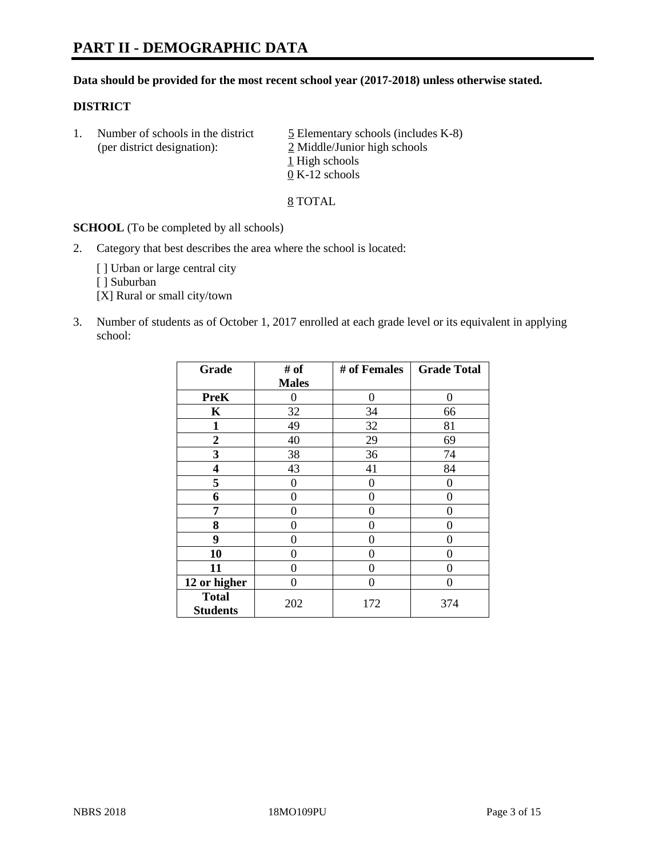#### **Data should be provided for the most recent school year (2017-2018) unless otherwise stated.**

#### **DISTRICT**

1. Number of schools in the district  $\frac{5}{2}$  Elementary schools (includes K-8) (per district designation): 2 Middle/Junior high schools 1 High schools 0 K-12 schools

8 TOTAL

**SCHOOL** (To be completed by all schools)

2. Category that best describes the area where the school is located:

[] Urban or large central city

[ ] Suburban

[X] Rural or small city/town

3. Number of students as of October 1, 2017 enrolled at each grade level or its equivalent in applying school:

| Grade                           | # of         | # of Females | <b>Grade Total</b> |
|---------------------------------|--------------|--------------|--------------------|
|                                 | <b>Males</b> |              |                    |
| <b>PreK</b>                     | 0            | 0            | 0                  |
| K                               | 32           | 34           | 66                 |
| $\mathbf{1}$                    | 49           | 32           | 81                 |
| 2                               | 40           | 29           | 69                 |
| 3                               | 38           | 36           | 74                 |
| 4                               | 43           | 41           | 84                 |
| 5                               | 0            | 0            | 0                  |
| 6                               | 0            | 0            | 0                  |
| 7                               | 0            | 0            | 0                  |
| 8                               | 0            | 0            | 0                  |
| 9                               | 0            | 0            | 0                  |
| 10                              | 0            | 0            | 0                  |
| 11                              | 0            | 0            | 0                  |
| 12 or higher                    | 0            | 0            | 0                  |
| <b>Total</b><br><b>Students</b> | 202          | 172          | 374                |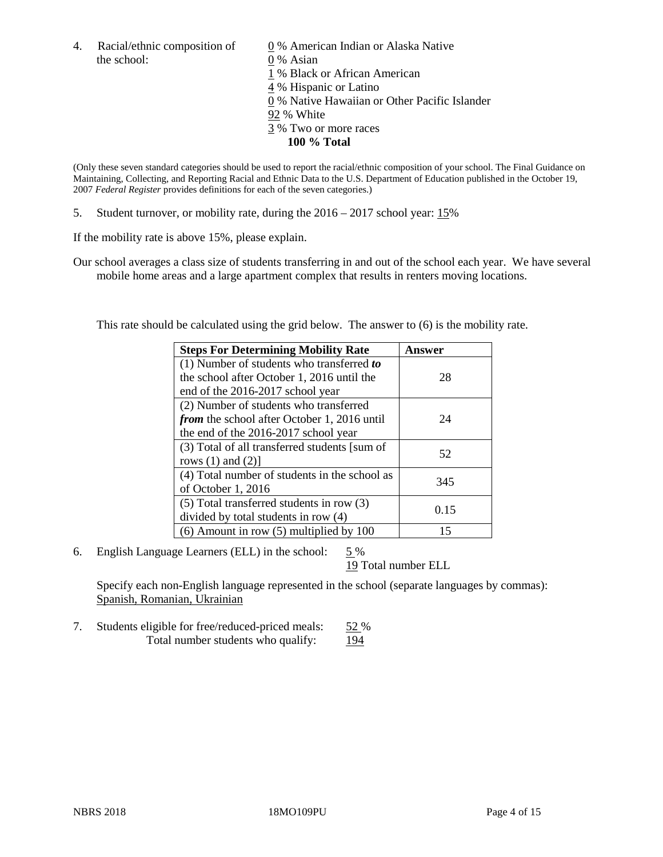the school: 0 % Asian

4. Racial/ethnic composition of  $\qquad 0\%$  American Indian or Alaska Native 1 % Black or African American 4 % Hispanic or Latino 0 % Native Hawaiian or Other Pacific Islander 92 % White 3 % Two or more races **100 % Total**

(Only these seven standard categories should be used to report the racial/ethnic composition of your school. The Final Guidance on Maintaining, Collecting, and Reporting Racial and Ethnic Data to the U.S. Department of Education published in the October 19, 2007 *Federal Register* provides definitions for each of the seven categories.)

5. Student turnover, or mobility rate, during the 2016 – 2017 school year: 15%

If the mobility rate is above 15%, please explain.

Our school averages a class size of students transferring in and out of the school each year. We have several mobile home areas and a large apartment complex that results in renters moving locations.

This rate should be calculated using the grid below. The answer to (6) is the mobility rate.

| <b>Steps For Determining Mobility Rate</b>         | Answer |  |
|----------------------------------------------------|--------|--|
| $(1)$ Number of students who transferred to        |        |  |
| the school after October 1, 2016 until the         | 28     |  |
| end of the 2016-2017 school year                   |        |  |
| (2) Number of students who transferred             |        |  |
| <i>from</i> the school after October 1, 2016 until | 24     |  |
| the end of the 2016-2017 school year               |        |  |
| (3) Total of all transferred students [sum of      | 52     |  |
| rows $(1)$ and $(2)$ ]                             |        |  |
| (4) Total number of students in the school as      | 345    |  |
| of October 1, 2016                                 |        |  |
| $(5)$ Total transferred students in row $(3)$      |        |  |
| divided by total students in row (4)               | 0.15   |  |
| $(6)$ Amount in row $(5)$ multiplied by 100        | 15     |  |

6. English Language Learners (ELL) in the school: 5 %

19 Total number ELL

Specify each non-English language represented in the school (separate languages by commas): Spanish, Romanian, Ukrainian

7. Students eligible for free/reduced-priced meals: 52 % Total number students who qualify: 194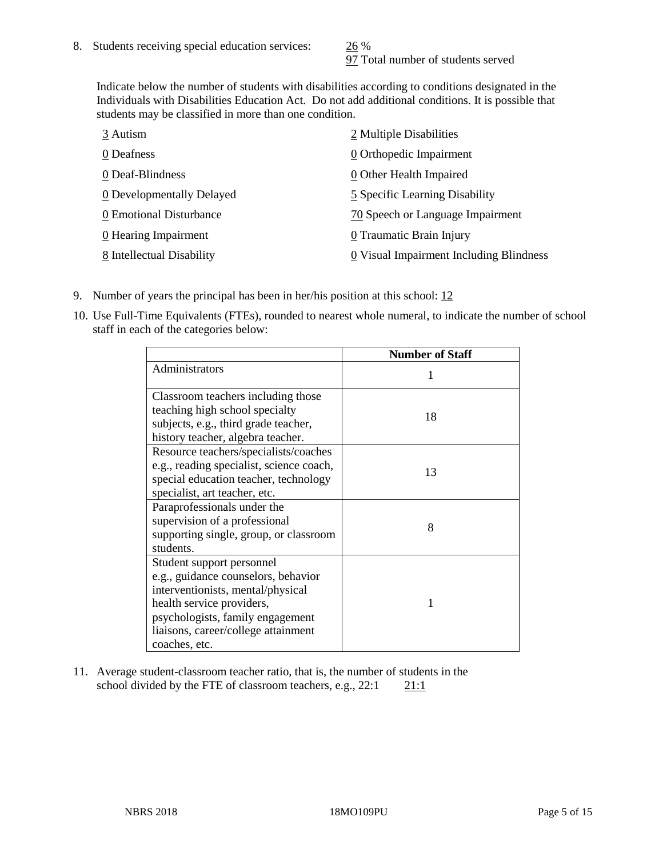97 Total number of students served

Indicate below the number of students with disabilities according to conditions designated in the Individuals with Disabilities Education Act. Do not add additional conditions. It is possible that students may be classified in more than one condition.

| 3 Autism                  | 2 Multiple Disabilities                 |
|---------------------------|-----------------------------------------|
| 0 Deafness                | 0 Orthopedic Impairment                 |
| 0 Deaf-Blindness          | 0 Other Health Impaired                 |
| 0 Developmentally Delayed | 5 Specific Learning Disability          |
| 0 Emotional Disturbance   | 70 Speech or Language Impairment        |
| 0 Hearing Impairment      | 0 Traumatic Brain Injury                |
| 8 Intellectual Disability | 0 Visual Impairment Including Blindness |

- 9. Number of years the principal has been in her/his position at this school:  $12$
- 10. Use Full-Time Equivalents (FTEs), rounded to nearest whole numeral, to indicate the number of school staff in each of the categories below:

|                                                                                                                                                                                                                                | <b>Number of Staff</b> |
|--------------------------------------------------------------------------------------------------------------------------------------------------------------------------------------------------------------------------------|------------------------|
| Administrators                                                                                                                                                                                                                 |                        |
| Classroom teachers including those<br>teaching high school specialty<br>subjects, e.g., third grade teacher,<br>history teacher, algebra teacher.                                                                              | 18                     |
| Resource teachers/specialists/coaches<br>e.g., reading specialist, science coach,<br>special education teacher, technology<br>specialist, art teacher, etc.                                                                    | 13                     |
| Paraprofessionals under the<br>supervision of a professional<br>supporting single, group, or classroom<br>students.                                                                                                            | 8                      |
| Student support personnel<br>e.g., guidance counselors, behavior<br>interventionists, mental/physical<br>health service providers,<br>psychologists, family engagement<br>liaisons, career/college attainment<br>coaches, etc. | 1                      |

11. Average student-classroom teacher ratio, that is, the number of students in the school divided by the FTE of classroom teachers, e.g.,  $22:1$  21:1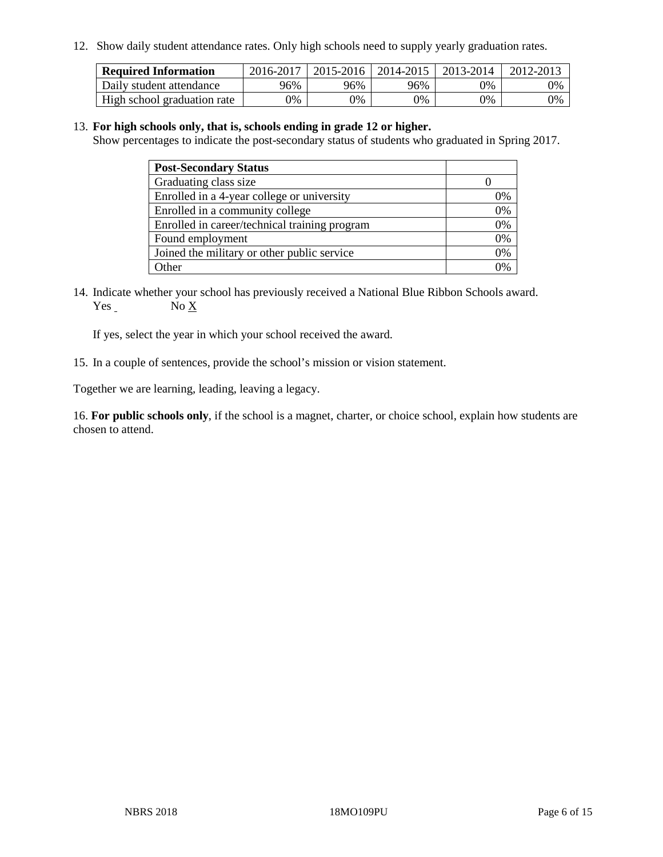12. Show daily student attendance rates. Only high schools need to supply yearly graduation rates.

| <b>Required Information</b> | 2016-2017 | 2015-2016 | 2014-2015 | 2013-2014 | 2012-2013 |
|-----------------------------|-----------|-----------|-----------|-----------|-----------|
| Daily student attendance    | 96%       | 96%       | 96%       | 9%        | 0%        |
| High school graduation rate | 0%        | 0%        | 0%        | 9%        | 0%        |

#### 13. **For high schools only, that is, schools ending in grade 12 or higher.**

Show percentages to indicate the post-secondary status of students who graduated in Spring 2017.

| <b>Post-Secondary Status</b>                  |                |
|-----------------------------------------------|----------------|
| Graduating class size                         |                |
| Enrolled in a 4-year college or university    | 0%             |
| Enrolled in a community college               | 0%             |
| Enrolled in career/technical training program | 0%             |
| Found employment                              | 0%             |
| Joined the military or other public service   | 0%             |
| Other                                         | $\frac{10}{6}$ |

14. Indicate whether your school has previously received a National Blue Ribbon Schools award. Yes No X

If yes, select the year in which your school received the award.

15. In a couple of sentences, provide the school's mission or vision statement.

Together we are learning, leading, leaving a legacy.

16. **For public schools only**, if the school is a magnet, charter, or choice school, explain how students are chosen to attend.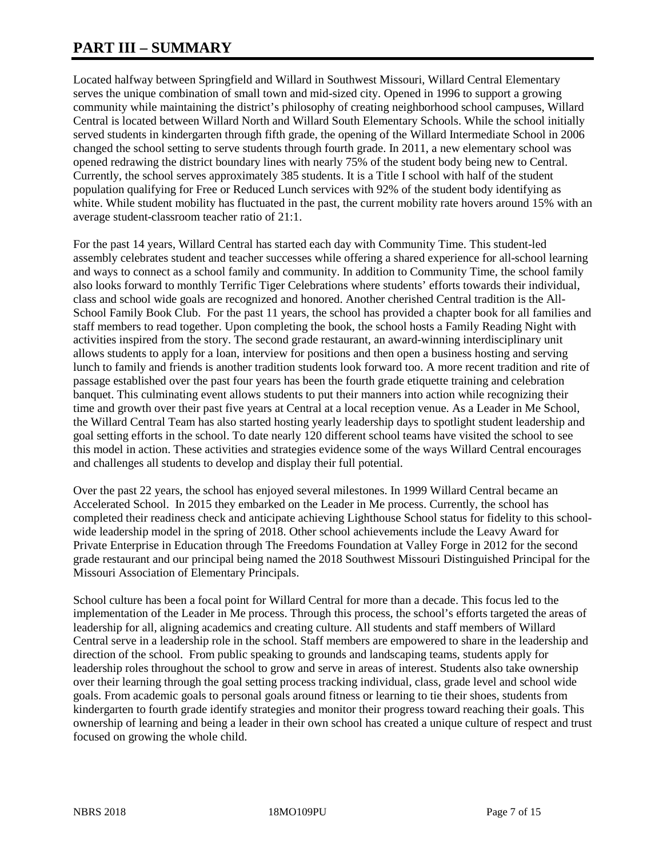# **PART III – SUMMARY**

Located halfway between Springfield and Willard in Southwest Missouri, Willard Central Elementary serves the unique combination of small town and mid-sized city. Opened in 1996 to support a growing community while maintaining the district's philosophy of creating neighborhood school campuses, Willard Central is located between Willard North and Willard South Elementary Schools. While the school initially served students in kindergarten through fifth grade, the opening of the Willard Intermediate School in 2006 changed the school setting to serve students through fourth grade. In 2011, a new elementary school was opened redrawing the district boundary lines with nearly 75% of the student body being new to Central. Currently, the school serves approximately 385 students. It is a Title I school with half of the student population qualifying for Free or Reduced Lunch services with 92% of the student body identifying as white. While student mobility has fluctuated in the past, the current mobility rate hovers around 15% with an average student-classroom teacher ratio of 21:1.

For the past 14 years, Willard Central has started each day with Community Time. This student-led assembly celebrates student and teacher successes while offering a shared experience for all-school learning and ways to connect as a school family and community. In addition to Community Time, the school family also looks forward to monthly Terrific Tiger Celebrations where students' efforts towards their individual, class and school wide goals are recognized and honored. Another cherished Central tradition is the All-School Family Book Club. For the past 11 years, the school has provided a chapter book for all families and staff members to read together. Upon completing the book, the school hosts a Family Reading Night with activities inspired from the story. The second grade restaurant, an award-winning interdisciplinary unit allows students to apply for a loan, interview for positions and then open a business hosting and serving lunch to family and friends is another tradition students look forward too. A more recent tradition and rite of passage established over the past four years has been the fourth grade etiquette training and celebration banquet. This culminating event allows students to put their manners into action while recognizing their time and growth over their past five years at Central at a local reception venue. As a Leader in Me School, the Willard Central Team has also started hosting yearly leadership days to spotlight student leadership and goal setting efforts in the school. To date nearly 120 different school teams have visited the school to see this model in action. These activities and strategies evidence some of the ways Willard Central encourages and challenges all students to develop and display their full potential.

Over the past 22 years, the school has enjoyed several milestones. In 1999 Willard Central became an Accelerated School. In 2015 they embarked on the Leader in Me process. Currently, the school has completed their readiness check and anticipate achieving Lighthouse School status for fidelity to this schoolwide leadership model in the spring of 2018. Other school achievements include the Leavy Award for Private Enterprise in Education through The Freedoms Foundation at Valley Forge in 2012 for the second grade restaurant and our principal being named the 2018 Southwest Missouri Distinguished Principal for the Missouri Association of Elementary Principals.

School culture has been a focal point for Willard Central for more than a decade. This focus led to the implementation of the Leader in Me process. Through this process, the school's efforts targeted the areas of leadership for all, aligning academics and creating culture. All students and staff members of Willard Central serve in a leadership role in the school. Staff members are empowered to share in the leadership and direction of the school. From public speaking to grounds and landscaping teams, students apply for leadership roles throughout the school to grow and serve in areas of interest. Students also take ownership over their learning through the goal setting process tracking individual, class, grade level and school wide goals. From academic goals to personal goals around fitness or learning to tie their shoes, students from kindergarten to fourth grade identify strategies and monitor their progress toward reaching their goals. This ownership of learning and being a leader in their own school has created a unique culture of respect and trust focused on growing the whole child.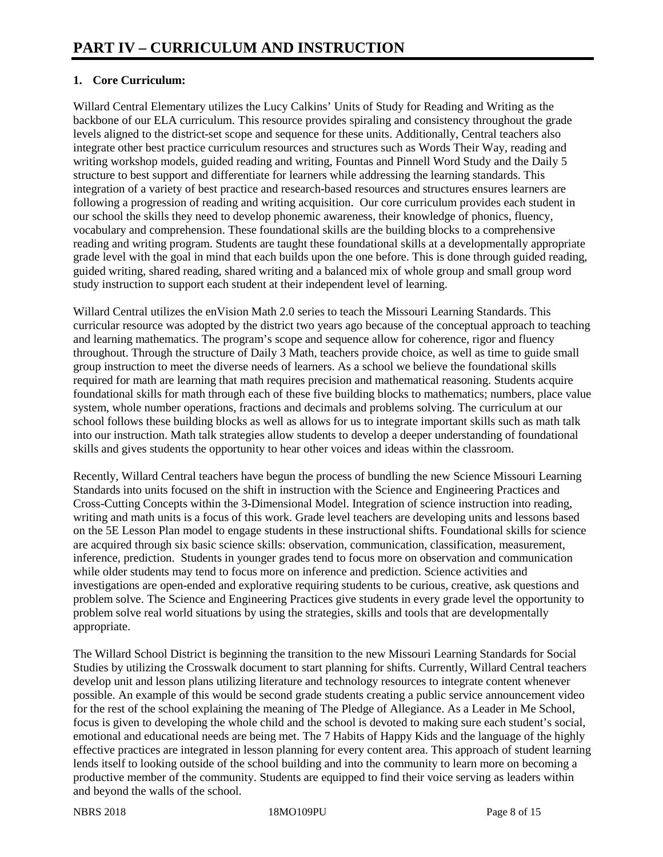# **1. Core Curriculum:**

Willard Central Elementary utilizes the Lucy Calkins' Units of Study for Reading and Writing as the backbone of our ELA curriculum. This resource provides spiraling and consistency throughout the grade levels aligned to the district-set scope and sequence for these units. Additionally, Central teachers also integrate other best practice curriculum resources and structures such as Words Their Way, reading and writing workshop models, guided reading and writing, Fountas and Pinnell Word Study and the Daily 5 structure to best support and differentiate for learners while addressing the learning standards. This integration of a variety of best practice and research-based resources and structures ensures learners are following a progression of reading and writing acquisition. Our core curriculum provides each student in our school the skills they need to develop phonemic awareness, their knowledge of phonics, fluency, vocabulary and comprehension. These foundational skills are the building blocks to a comprehensive reading and writing program. Students are taught these foundational skills at a developmentally appropriate grade level with the goal in mind that each builds upon the one before. This is done through guided reading, guided writing, shared reading, shared writing and a balanced mix of whole group and small group word study instruction to support each student at their independent level of learning.

Willard Central utilizes the enVision Math 2.0 series to teach the Missouri Learning Standards. This curricular resource was adopted by the district two years ago because of the conceptual approach to teaching and learning mathematics. The program's scope and sequence allow for coherence, rigor and fluency throughout. Through the structure of Daily 3 Math, teachers provide choice, as well as time to guide small group instruction to meet the diverse needs of learners. As a school we believe the foundational skills required for math are learning that math requires precision and mathematical reasoning. Students acquire foundational skills for math through each of these five building blocks to mathematics; numbers, place value system, whole number operations, fractions and decimals and problems solving. The curriculum at our school follows these building blocks as well as allows for us to integrate important skills such as math talk into our instruction. Math talk strategies allow students to develop a deeper understanding of foundational skills and gives students the opportunity to hear other voices and ideas within the classroom.

Recently, Willard Central teachers have begun the process of bundling the new Science Missouri Learning Standards into units focused on the shift in instruction with the Science and Engineering Practices and Cross-Cutting Concepts within the 3-Dimensional Model. Integration of science instruction into reading, writing and math units is a focus of this work. Grade level teachers are developing units and lessons based on the 5E Lesson Plan model to engage students in these instructional shifts. Foundational skills for science are acquired through six basic science skills: observation, communication, classification, measurement, inference, prediction. Students in younger grades tend to focus more on observation and communication while older students may tend to focus more on inference and prediction. Science activities and investigations are open-ended and explorative requiring students to be curious, creative, ask questions and problem solve. The Science and Engineering Practices give students in every grade level the opportunity to problem solve real world situations by using the strategies, skills and tools that are developmentally appropriate.

The Willard School District is beginning the transition to the new Missouri Learning Standards for Social Studies by utilizing the Crosswalk document to start planning for shifts. Currently, Willard Central teachers develop unit and lesson plans utilizing literature and technology resources to integrate content whenever possible. An example of this would be second grade students creating a public service announcement video for the rest of the school explaining the meaning of The Pledge of Allegiance. As a Leader in Me School, focus is given to developing the whole child and the school is devoted to making sure each student's social, emotional and educational needs are being met. The 7 Habits of Happy Kids and the language of the highly effective practices are integrated in lesson planning for every content area. This approach of student learning lends itself to looking outside of the school building and into the community to learn more on becoming a productive member of the community. Students are equipped to find their voice serving as leaders within and beyond the walls of the school.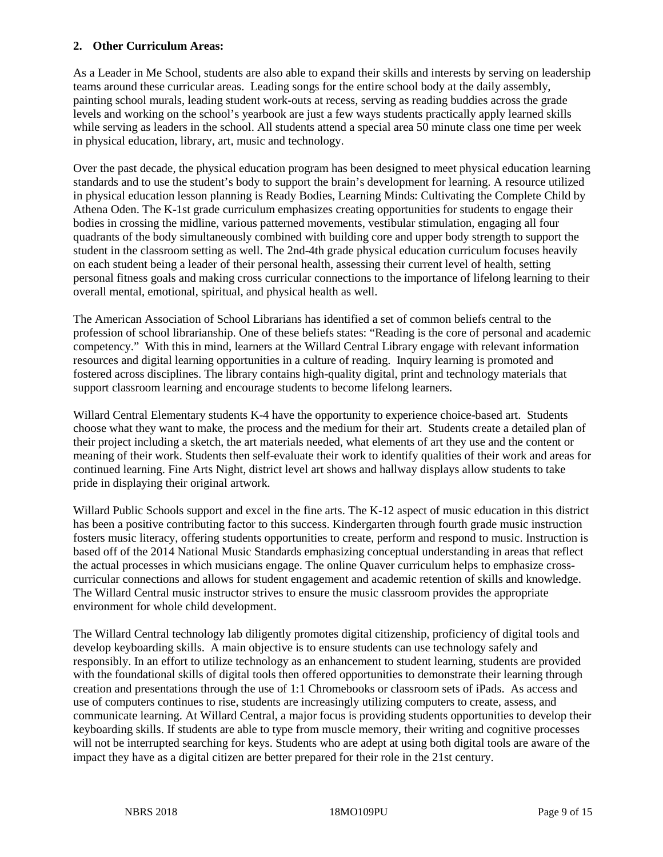#### **2. Other Curriculum Areas:**

As a Leader in Me School, students are also able to expand their skills and interests by serving on leadership teams around these curricular areas. Leading songs for the entire school body at the daily assembly, painting school murals, leading student work-outs at recess, serving as reading buddies across the grade levels and working on the school's yearbook are just a few ways students practically apply learned skills while serving as leaders in the school. All students attend a special area 50 minute class one time per week in physical education, library, art, music and technology.

Over the past decade, the physical education program has been designed to meet physical education learning standards and to use the student's body to support the brain's development for learning. A resource utilized in physical education lesson planning is Ready Bodies, Learning Minds: Cultivating the Complete Child by Athena Oden. The K-1st grade curriculum emphasizes creating opportunities for students to engage their bodies in crossing the midline, various patterned movements, vestibular stimulation, engaging all four quadrants of the body simultaneously combined with building core and upper body strength to support the student in the classroom setting as well. The 2nd-4th grade physical education curriculum focuses heavily on each student being a leader of their personal health, assessing their current level of health, setting personal fitness goals and making cross curricular connections to the importance of lifelong learning to their overall mental, emotional, spiritual, and physical health as well.

The American Association of School Librarians has identified a set of common beliefs central to the profession of school librarianship. One of these beliefs states: "Reading is the core of personal and academic competency." With this in mind, learners at the Willard Central Library engage with relevant information resources and digital learning opportunities in a culture of reading. Inquiry learning is promoted and fostered across disciplines. The library contains high-quality digital, print and technology materials that support classroom learning and encourage students to become lifelong learners.

Willard Central Elementary students K-4 have the opportunity to experience choice-based art. Students choose what they want to make, the process and the medium for their art. Students create a detailed plan of their project including a sketch, the art materials needed, what elements of art they use and the content or meaning of their work. Students then self-evaluate their work to identify qualities of their work and areas for continued learning. Fine Arts Night, district level art shows and hallway displays allow students to take pride in displaying their original artwork.

Willard Public Schools support and excel in the fine arts. The K-12 aspect of music education in this district has been a positive contributing factor to this success. Kindergarten through fourth grade music instruction fosters music literacy, offering students opportunities to create, perform and respond to music. Instruction is based off of the 2014 National Music Standards emphasizing conceptual understanding in areas that reflect the actual processes in which musicians engage. The online Quaver curriculum helps to emphasize crosscurricular connections and allows for student engagement and academic retention of skills and knowledge. The Willard Central music instructor strives to ensure the music classroom provides the appropriate environment for whole child development.

The Willard Central technology lab diligently promotes digital citizenship, proficiency of digital tools and develop keyboarding skills. A main objective is to ensure students can use technology safely and responsibly. In an effort to utilize technology as an enhancement to student learning, students are provided with the foundational skills of digital tools then offered opportunities to demonstrate their learning through creation and presentations through the use of 1:1 Chromebooks or classroom sets of iPads. As access and use of computers continues to rise, students are increasingly utilizing computers to create, assess, and communicate learning. At Willard Central, a major focus is providing students opportunities to develop their keyboarding skills. If students are able to type from muscle memory, their writing and cognitive processes will not be interrupted searching for keys. Students who are adept at using both digital tools are aware of the impact they have as a digital citizen are better prepared for their role in the 21st century.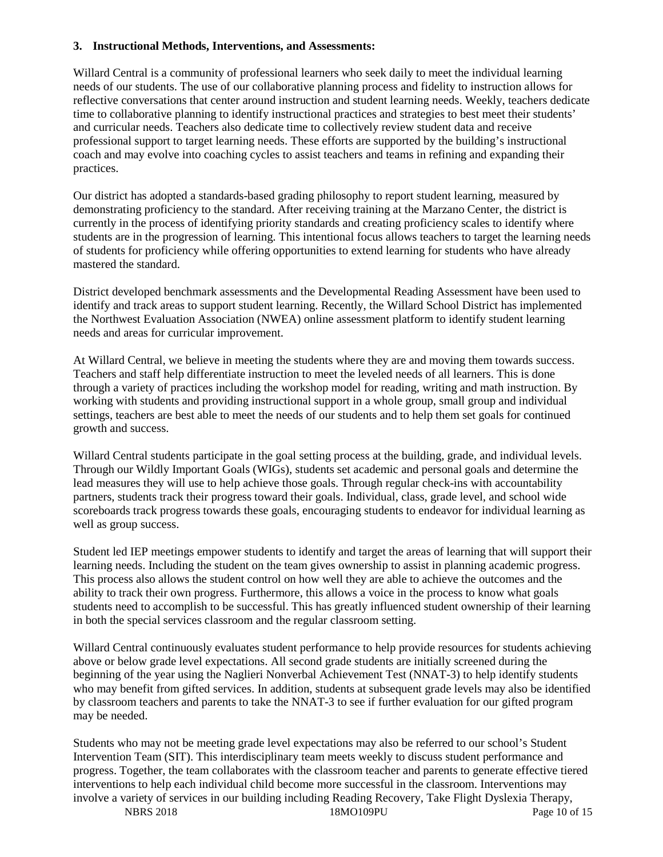#### **3. Instructional Methods, Interventions, and Assessments:**

Willard Central is a community of professional learners who seek daily to meet the individual learning needs of our students. The use of our collaborative planning process and fidelity to instruction allows for reflective conversations that center around instruction and student learning needs. Weekly, teachers dedicate time to collaborative planning to identify instructional practices and strategies to best meet their students' and curricular needs. Teachers also dedicate time to collectively review student data and receive professional support to target learning needs. These efforts are supported by the building's instructional coach and may evolve into coaching cycles to assist teachers and teams in refining and expanding their practices.

Our district has adopted a standards-based grading philosophy to report student learning, measured by demonstrating proficiency to the standard. After receiving training at the Marzano Center, the district is currently in the process of identifying priority standards and creating proficiency scales to identify where students are in the progression of learning. This intentional focus allows teachers to target the learning needs of students for proficiency while offering opportunities to extend learning for students who have already mastered the standard.

District developed benchmark assessments and the Developmental Reading Assessment have been used to identify and track areas to support student learning. Recently, the Willard School District has implemented the Northwest Evaluation Association (NWEA) online assessment platform to identify student learning needs and areas for curricular improvement.

At Willard Central, we believe in meeting the students where they are and moving them towards success. Teachers and staff help differentiate instruction to meet the leveled needs of all learners. This is done through a variety of practices including the workshop model for reading, writing and math instruction. By working with students and providing instructional support in a whole group, small group and individual settings, teachers are best able to meet the needs of our students and to help them set goals for continued growth and success.

Willard Central students participate in the goal setting process at the building, grade, and individual levels. Through our Wildly Important Goals (WIGs), students set academic and personal goals and determine the lead measures they will use to help achieve those goals. Through regular check-ins with accountability partners, students track their progress toward their goals. Individual, class, grade level, and school wide scoreboards track progress towards these goals, encouraging students to endeavor for individual learning as well as group success.

Student led IEP meetings empower students to identify and target the areas of learning that will support their learning needs. Including the student on the team gives ownership to assist in planning academic progress. This process also allows the student control on how well they are able to achieve the outcomes and the ability to track their own progress. Furthermore, this allows a voice in the process to know what goals students need to accomplish to be successful. This has greatly influenced student ownership of their learning in both the special services classroom and the regular classroom setting.

Willard Central continuously evaluates student performance to help provide resources for students achieving above or below grade level expectations. All second grade students are initially screened during the beginning of the year using the Naglieri Nonverbal Achievement Test (NNAT-3) to help identify students who may benefit from gifted services. In addition, students at subsequent grade levels may also be identified by classroom teachers and parents to take the NNAT-3 to see if further evaluation for our gifted program may be needed.

Students who may not be meeting grade level expectations may also be referred to our school's Student Intervention Team (SIT). This interdisciplinary team meets weekly to discuss student performance and progress. Together, the team collaborates with the classroom teacher and parents to generate effective tiered interventions to help each individual child become more successful in the classroom. Interventions may involve a variety of services in our building including Reading Recovery, Take Flight Dyslexia Therapy,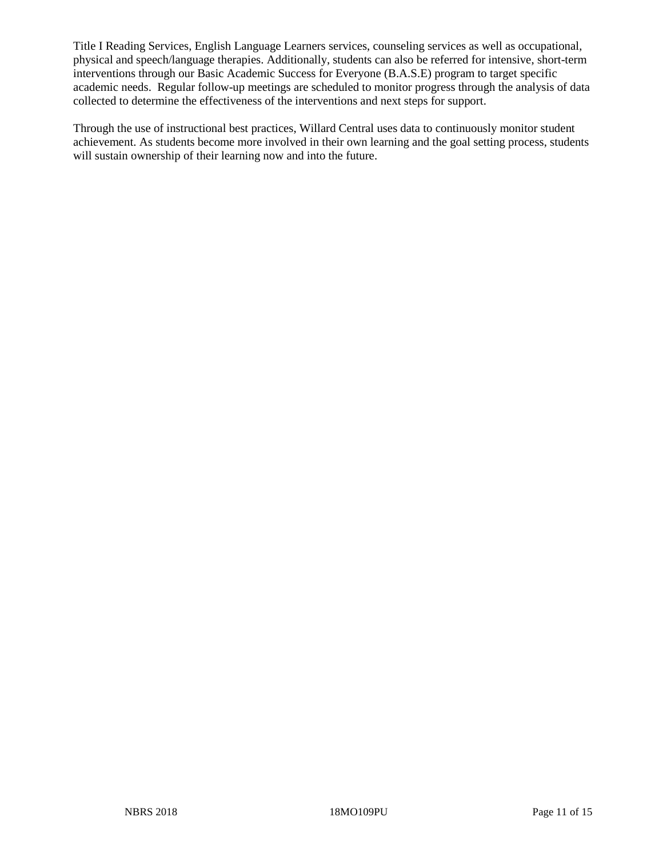Title I Reading Services, English Language Learners services, counseling services as well as occupational, physical and speech/language therapies. Additionally, students can also be referred for intensive, short-term interventions through our Basic Academic Success for Everyone (B.A.S.E) program to target specific academic needs. Regular follow-up meetings are scheduled to monitor progress through the analysis of data collected to determine the effectiveness of the interventions and next steps for support.

Through the use of instructional best practices, Willard Central uses data to continuously monitor student achievement. As students become more involved in their own learning and the goal setting process, students will sustain ownership of their learning now and into the future.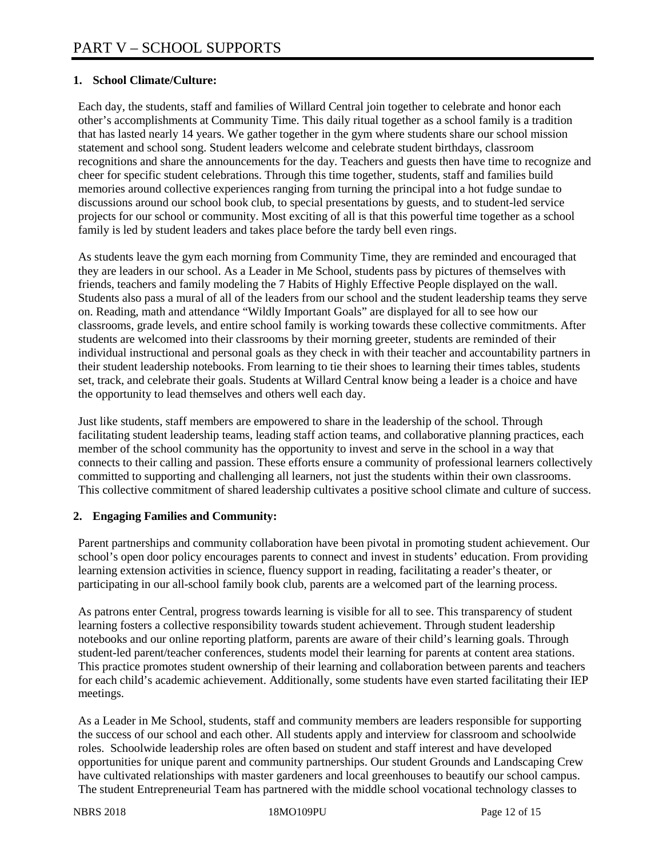# **1. School Climate/Culture:**

Each day, the students, staff and families of Willard Central join together to celebrate and honor each other's accomplishments at Community Time. This daily ritual together as a school family is a tradition that has lasted nearly 14 years. We gather together in the gym where students share our school mission statement and school song. Student leaders welcome and celebrate student birthdays, classroom recognitions and share the announcements for the day. Teachers and guests then have time to recognize and cheer for specific student celebrations. Through this time together, students, staff and families build memories around collective experiences ranging from turning the principal into a hot fudge sundae to discussions around our school book club, to special presentations by guests, and to student-led service projects for our school or community. Most exciting of all is that this powerful time together as a school family is led by student leaders and takes place before the tardy bell even rings.

As students leave the gym each morning from Community Time, they are reminded and encouraged that they are leaders in our school. As a Leader in Me School, students pass by pictures of themselves with friends, teachers and family modeling the 7 Habits of Highly Effective People displayed on the wall. Students also pass a mural of all of the leaders from our school and the student leadership teams they serve on. Reading, math and attendance "Wildly Important Goals" are displayed for all to see how our classrooms, grade levels, and entire school family is working towards these collective commitments. After students are welcomed into their classrooms by their morning greeter, students are reminded of their individual instructional and personal goals as they check in with their teacher and accountability partners in their student leadership notebooks. From learning to tie their shoes to learning their times tables, students set, track, and celebrate their goals. Students at Willard Central know being a leader is a choice and have the opportunity to lead themselves and others well each day.

Just like students, staff members are empowered to share in the leadership of the school. Through facilitating student leadership teams, leading staff action teams, and collaborative planning practices, each member of the school community has the opportunity to invest and serve in the school in a way that connects to their calling and passion. These efforts ensure a community of professional learners collectively committed to supporting and challenging all learners, not just the students within their own classrooms. This collective commitment of shared leadership cultivates a positive school climate and culture of success.

## **2. Engaging Families and Community:**

Parent partnerships and community collaboration have been pivotal in promoting student achievement. Our school's open door policy encourages parents to connect and invest in students' education. From providing learning extension activities in science, fluency support in reading, facilitating a reader's theater, or participating in our all-school family book club, parents are a welcomed part of the learning process.

As patrons enter Central, progress towards learning is visible for all to see. This transparency of student learning fosters a collective responsibility towards student achievement. Through student leadership notebooks and our online reporting platform, parents are aware of their child's learning goals. Through student-led parent/teacher conferences, students model their learning for parents at content area stations. This practice promotes student ownership of their learning and collaboration between parents and teachers for each child's academic achievement. Additionally, some students have even started facilitating their IEP meetings.

As a Leader in Me School, students, staff and community members are leaders responsible for supporting the success of our school and each other. All students apply and interview for classroom and schoolwide roles. Schoolwide leadership roles are often based on student and staff interest and have developed opportunities for unique parent and community partnerships. Our student Grounds and Landscaping Crew have cultivated relationships with master gardeners and local greenhouses to beautify our school campus. The student Entrepreneurial Team has partnered with the middle school vocational technology classes to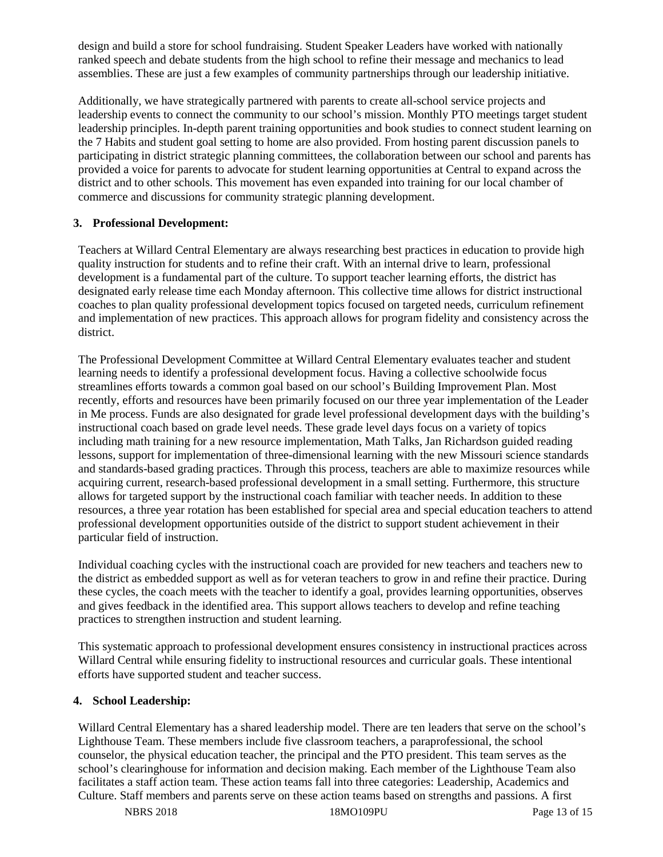design and build a store for school fundraising. Student Speaker Leaders have worked with nationally ranked speech and debate students from the high school to refine their message and mechanics to lead assemblies. These are just a few examples of community partnerships through our leadership initiative.

Additionally, we have strategically partnered with parents to create all-school service projects and leadership events to connect the community to our school's mission. Monthly PTO meetings target student leadership principles. In-depth parent training opportunities and book studies to connect student learning on the 7 Habits and student goal setting to home are also provided. From hosting parent discussion panels to participating in district strategic planning committees, the collaboration between our school and parents has provided a voice for parents to advocate for student learning opportunities at Central to expand across the district and to other schools. This movement has even expanded into training for our local chamber of commerce and discussions for community strategic planning development.

## **3. Professional Development:**

Teachers at Willard Central Elementary are always researching best practices in education to provide high quality instruction for students and to refine their craft. With an internal drive to learn, professional development is a fundamental part of the culture. To support teacher learning efforts, the district has designated early release time each Monday afternoon. This collective time allows for district instructional coaches to plan quality professional development topics focused on targeted needs, curriculum refinement and implementation of new practices. This approach allows for program fidelity and consistency across the district.

The Professional Development Committee at Willard Central Elementary evaluates teacher and student learning needs to identify a professional development focus. Having a collective schoolwide focus streamlines efforts towards a common goal based on our school's Building Improvement Plan. Most recently, efforts and resources have been primarily focused on our three year implementation of the Leader in Me process. Funds are also designated for grade level professional development days with the building's instructional coach based on grade level needs. These grade level days focus on a variety of topics including math training for a new resource implementation, Math Talks, Jan Richardson guided reading lessons, support for implementation of three-dimensional learning with the new Missouri science standards and standards-based grading practices. Through this process, teachers are able to maximize resources while acquiring current, research-based professional development in a small setting. Furthermore, this structure allows for targeted support by the instructional coach familiar with teacher needs. In addition to these resources, a three year rotation has been established for special area and special education teachers to attend professional development opportunities outside of the district to support student achievement in their particular field of instruction.

Individual coaching cycles with the instructional coach are provided for new teachers and teachers new to the district as embedded support as well as for veteran teachers to grow in and refine their practice. During these cycles, the coach meets with the teacher to identify a goal, provides learning opportunities, observes and gives feedback in the identified area. This support allows teachers to develop and refine teaching practices to strengthen instruction and student learning.

This systematic approach to professional development ensures consistency in instructional practices across Willard Central while ensuring fidelity to instructional resources and curricular goals. These intentional efforts have supported student and teacher success.

#### **4. School Leadership:**

Willard Central Elementary has a shared leadership model. There are ten leaders that serve on the school's Lighthouse Team. These members include five classroom teachers, a paraprofessional, the school counselor, the physical education teacher, the principal and the PTO president. This team serves as the school's clearinghouse for information and decision making. Each member of the Lighthouse Team also facilitates a staff action team. These action teams fall into three categories: Leadership, Academics and Culture. Staff members and parents serve on these action teams based on strengths and passions. A first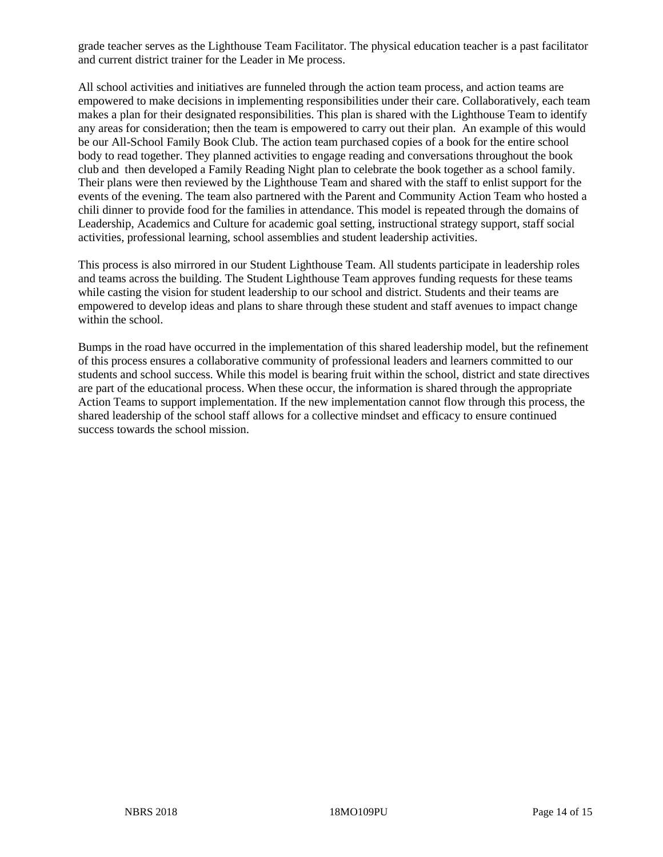grade teacher serves as the Lighthouse Team Facilitator. The physical education teacher is a past facilitator and current district trainer for the Leader in Me process.

All school activities and initiatives are funneled through the action team process, and action teams are empowered to make decisions in implementing responsibilities under their care. Collaboratively, each team makes a plan for their designated responsibilities. This plan is shared with the Lighthouse Team to identify any areas for consideration; then the team is empowered to carry out their plan. An example of this would be our All-School Family Book Club. The action team purchased copies of a book for the entire school body to read together. They planned activities to engage reading and conversations throughout the book club and then developed a Family Reading Night plan to celebrate the book together as a school family. Their plans were then reviewed by the Lighthouse Team and shared with the staff to enlist support for the events of the evening. The team also partnered with the Parent and Community Action Team who hosted a chili dinner to provide food for the families in attendance. This model is repeated through the domains of Leadership, Academics and Culture for academic goal setting, instructional strategy support, staff social activities, professional learning, school assemblies and student leadership activities.

This process is also mirrored in our Student Lighthouse Team. All students participate in leadership roles and teams across the building. The Student Lighthouse Team approves funding requests for these teams while casting the vision for student leadership to our school and district. Students and their teams are empowered to develop ideas and plans to share through these student and staff avenues to impact change within the school.

Bumps in the road have occurred in the implementation of this shared leadership model, but the refinement of this process ensures a collaborative community of professional leaders and learners committed to our students and school success. While this model is bearing fruit within the school, district and state directives are part of the educational process. When these occur, the information is shared through the appropriate Action Teams to support implementation. If the new implementation cannot flow through this process, the shared leadership of the school staff allows for a collective mindset and efficacy to ensure continued success towards the school mission.